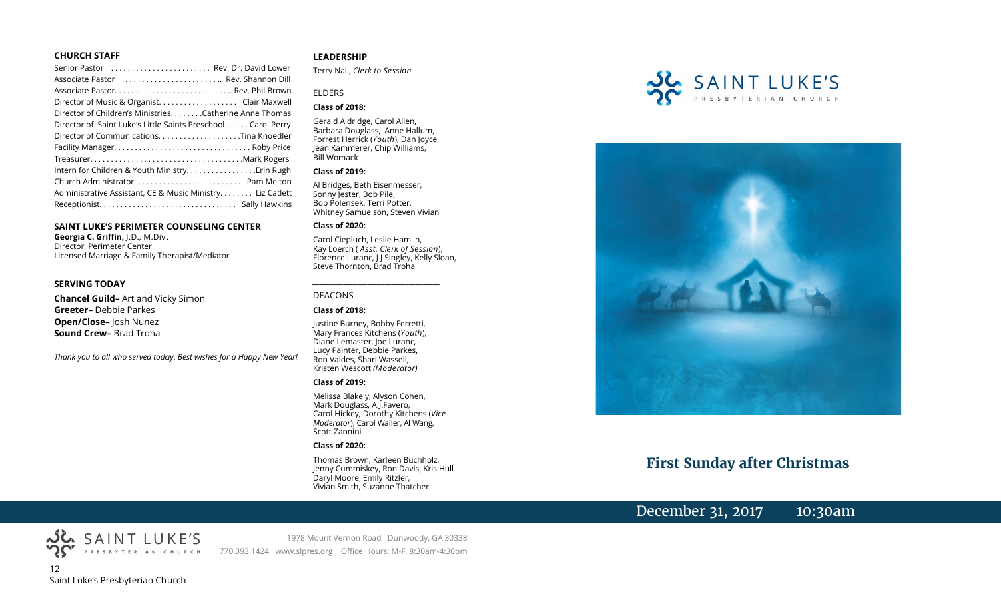#### **CHURCH STAFF**

| Senior Pastor  Rev. Dr. David Lower                          |
|--------------------------------------------------------------|
| Associate Pastor  Rev. Shannon Dill                          |
| Associate Pastor Rev. Phil Brown                             |
| Director of Music & Organist. Clair Maxwell                  |
| Director of Children's Ministries. Catherine Anne Thomas     |
| Director of Saint Luke's Little Saints Preschool Carol Perry |
|                                                              |
|                                                              |
|                                                              |
|                                                              |
|                                                              |
| Administrative Assistant, CE & Music Ministry. Liz Catlett   |
|                                                              |

#### **SAINT LUKE'S PERIMETER COUNSELING CENTER**

**Georgia C. Griffin,** J.D., M.Div. Director, Perimeter Center Licensed Marriage & Family Therapist/Mediator

#### **SERVING TODAY**

**Chancel Guild–** Art and Vicky Simon **Greeter–** Debbie Parkes **Open/Close–** Josh Nunez **Sound Crew–** Brad Troha

*Thank you to all who served today. Best wishes for a Happy New Year!*

#### **LEADERSHIP**

Terry Nall, *Clerk to Session* 

**\_\_\_\_\_\_\_\_\_\_\_\_\_\_\_\_\_\_\_\_\_\_\_\_\_\_\_\_\_\_\_\_\_\_\_\_\_\_\_**

#### ELDERS

#### **Class of 2018:**

Gerald Aldridge, Carol Allen, Barbara Douglass, Anne Hallum, Forrest Herrick (*Youth*), Dan Joyce, Jean Kammerer, Chip Williams, Bill Womack

#### **Class of 2019:**

Al Bridges, Beth Eisenmesser, Sonny Jester, Bob Pile, Bob Polensek, Terri Potter, Whitney Samuelson, Steven Vivian

#### **Class of 2020:**

Carol Ciepluch, Leslie Hamlin, Kay Loerch ( *Asst. Clerk of Session*), Florence Luranc, J J Singley, Kelly Sloan, Steve Thornton, Brad Troha

*\_\_\_\_\_\_\_\_\_\_\_\_\_\_\_\_\_\_\_\_\_\_\_\_\_\_\_\_\_\_\_\_\_\_\_\_\_*

#### DEACONS

#### **Class of 2018:**

Justine Burney, Bobby Ferretti, Mary Frances Kitchens (*Youth*), Diane Lemaster, Joe Luranc, Lucy Painter, Debbie Parkes, Ron Valdes, Shari Wassell, Kristen Wescott *(Moderator)*

#### **Class of 2019:**

Melissa Blakely, Alyson Cohen, Mark Douglass, A.J.Favero, Carol Hickey, Dorothy Kitchens (*Vice Moderator*), Carol Waller, Al Wang, Scott Zannini

#### **Class of 2020:**

Thomas Brown, Karleen Buchholz, Jenny Cummiskey, Ron Davis, Kris Hull Daryl Moore, Emily Ritzler, Vivian Smith, Suzanne Thatcher





# **First Sunday after Christmas**

# December 31, 2017 10:30am

PRESBYTERIAN CHURCH 12 Saint Luke's Presbyterian Church

SAINT LUKE'S

1978 Mount Vernon Road Dunwoody, GA 30338 770.393.1424 www.slpres.org Office Hours: M-F, 8:30am-4:30pm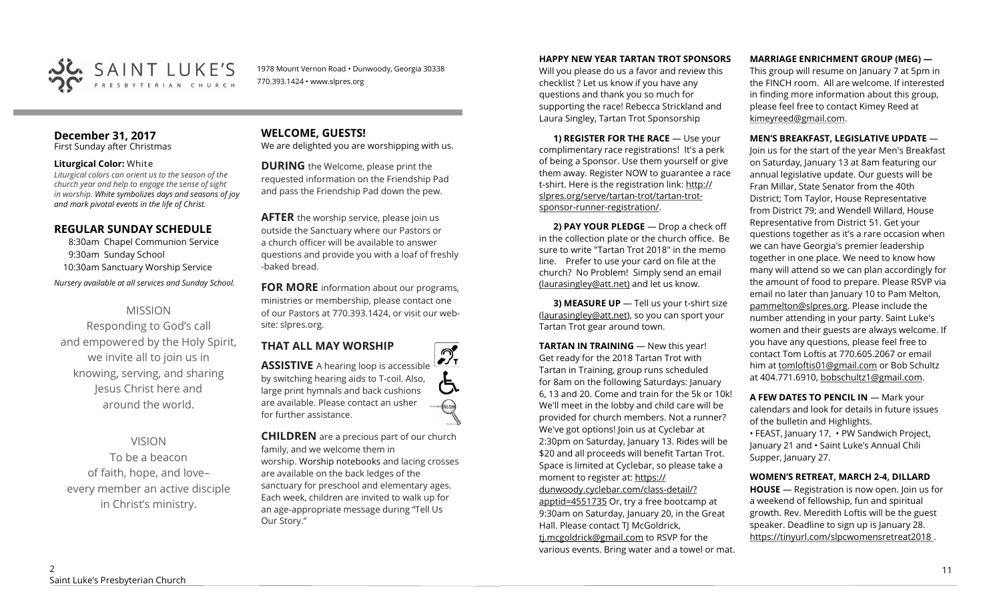

1978 Mount Vernon Road • Dunwoody, Georgia 30338 770.393.1424 • www.slpres.org

# **December 31, 2017**

First Sunday after Christmas

#### **Liturgical Color:** White

*Liturgical colors can orient us to the season of the church year and help to engage the sense of sight in worship. White symbolizes days and seasons of joy and mark pivotal events in the life of Christ.* 

## **REGULAR SUNDAY SCHEDULE**

8:30am Chapel Communion Service 9:30am Sunday School 10:30am Sanctuary Worship Service *Nursery available at all services and Sunday School.* 

# MISSION

Responding to God's call and empowered by the Holy Spirit, we invite all to join us in knowing, serving, and sharing Jesus Christ here and around the world.

# VISION

To be a beacon of faith, hope, and love– every member an active disciple in Christ's ministry.

**WELCOME, GUESTS!**  We are delighted you are worshipping with us.

**DURING** the Welcome, please print the requested information on the Friendship Pad and pass the Friendship Pad down the pew.

**AFTER** the worship service, please join us outside the Sanctuary where our Pastors or a church officer will be available to answer questions and provide you with a loaf of freshly -baked bread.

**FOR MORE** information about our programs, ministries or membership, please contact one of our Pastors at 770.393.1424, or visit our website: slpres.org.

# **THAT ALL MAY WORSHIP**

 $\mathcal{D}_{\mathrm{r}}$ **ASSISTIVE** A hearing loop is accessible by switching hearing aids to T-coil. Also, large print hymnals and back cushions thister are available. Please contact an usher for further assistance.

**CHILDREN** are a precious part of our church family, and we welcome them in worship. Worship notebooks and lacing crosses are available on the back ledges of the sanctuary for preschool and elementary ages. Each week, children are invited to walk up for an age-appropriate message during "Tell Us Our Story."

#### **HAPPY NEW YEAR TARTAN TROT SPONSORS**

Will you please do us a favor and review this checklist ? Let us know if you have any questions and thank you so much for supporting the race! Rebecca Strickland and Laura Singley, Tartan Trot Sponsorship

**1) REGISTER FOR THE RACE** — Use your complimentary race registrations! It's a perk of being a Sponsor. Use them yourself or give them away. Register NOW to guarantee a race t-shirt. Here is the registration link: [http://](http://slpres.org/serve/tartan-trot/tartan-trot-sponsor-runner-registration/) [slpres.org/serve/tartan](http://slpres.org/serve/tartan-trot/tartan-trot-sponsor-runner-registration/)-trot/tartan-trotsponsor-runner-[registration/.](http://slpres.org/serve/tartan-trot/tartan-trot-sponsor-runner-registration/)

**2) PAY YOUR PLEDGE** — Drop a check off in the collection plate or the church office. Be sure to write "Tartan Trot 2018" in the memo line. Prefer to use your card on file at the church? No Problem! Simply send an email [\(laurasingley@att.net\)](mailto:laurasingley@att.net) and let us know.

**3) MEASURE UP** — Tell us your t-shirt size ([laurasingley@att.net\)](mailto:laurasingley@att.net), so you can sport your Tartan Trot gear around town.

**TARTAN IN TRAINING** — New this year! Get ready for the 2018 Tartan Trot with Tartan in Training, group runs scheduled for 8am on the following Saturdays: January 6, 13 and 20. Come and train for the 5k or 10k! We'll meet in the lobby and child care will be provided for church members. Not a runner? We've got options! Join us at Cyclebar at 2:30pm on Saturday, January 13. Rides will be \$20 and all proceeds will benefit Tartan Trot. Space is limited at Cyclebar, so please take a moment to register at: [https://](https://dunwoody.cyclebar.com/class-detail/?apptid=4551735) [dunwoody.cyclebar.com/class](https://dunwoody.cyclebar.com/class-detail/?apptid=4551735)-detail/? [apptid=4551735](https://dunwoody.cyclebar.com/class-detail/?apptid=4551735) Or, try a free bootcamp at 9:30am on Saturday, January 20, in the Great Hall. Please contact TJ McGoldrick, tj.mcgoldrick@[gmail.com](http://gmail.com) to RSVP for the various events. Bring water and a towel or mat.

#### **MARRIAGE ENRICHMENT GROUP (MEG) —**

This group will resume on January 7 at 5pm in the FINCH room. All are welcome. If interested in finding more information about this group, please feel free to contact Kimey Reed at kimeyreed@gmail.com.

#### **MEN'S BREAKFAST, LEGISLATIVE UPDATE** —

Join us for the start of the year Men's Breakfast on Saturday, January 13 at 8am featuring our annual legislative update. Our guests will be Fran Millar, State Senator from the 40th District; Tom Taylor, House Representative from District 79; and Wendell Willard, House Representative from District 51. Get your questions together as it's a rare occasion when we can have Georgia's premier leadership together in one place. We need to know how many will attend so we can plan accordingly for the amount of food to prepare. Please RSVP via email no later than [January 10](x-apple-data-detectors://5) to Pam Melton, pammelton@slpres.org. Please include the number attending in your party. Saint Luke's women and their guests are always welcome. If you have any questions, please feel free to contact Tom Loftis at 770.605.2067 or email him at [tomloftis01@gmail.com](mailto:tomloftis01@gmail.com) or Bob Schultz at 404.771.6910, [bobschultz1@gmail.com.](mailto:bobschultz1@gmail.com)

**A FEW DATES TO PENCIL IN - Mark your** calendars and look for details in future issues of the bulletin and Highlights. • FEAST, January 17, • PW Sandwich Project, January 21 and • Saint Luke's Annual Chili Supper, January 27.

#### **WOMEN'S RETREAT, MARCH 2-4, DILLARD**

**HOUSE** — Registration is now open. Join us for a weekend of fellowship, fun and spiritual growth. Rev. Meredith Loftis will be the guest speaker. Deadline to sign up is January 28. https://tinyurl.com/slpcwomensretreat2018 .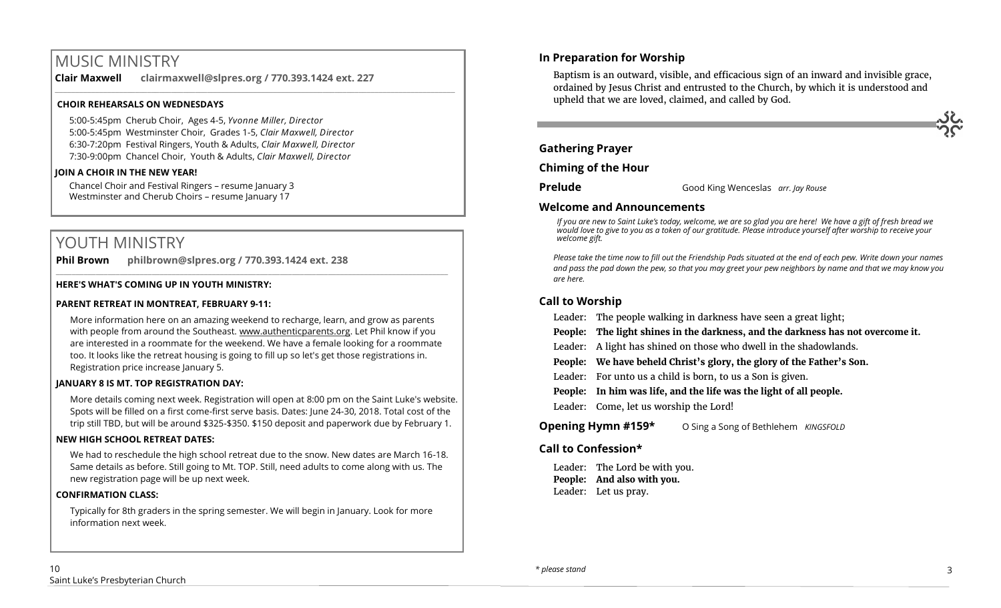# MUSIC MINISTRY

**Clair Maxwell clairmaxwell@slpres.org / 770.393.1424 ext. 227** 

\_\_\_\_\_\_\_\_\_\_\_\_\_\_\_\_\_\_\_\_\_\_\_\_\_\_\_\_\_\_\_\_\_\_\_\_\_\_\_\_\_\_\_\_\_\_\_\_\_\_\_\_\_\_\_\_\_\_\_\_\_\_\_\_\_\_\_\_\_\_\_\_\_\_\_\_\_\_\_\_\_\_\_\_\_\_\_\_\_\_\_\_\_\_\_\_\_\_\_\_

### **CHOIR REHEARSALS ON WEDNESDAYS**

5:00-5:45pm Cherub Choir, Ages 4-5, *Yvonne Miller, Director*  5:00-5:45pm Westminster Choir, Grades 1-5, *Clair Maxwell, Director*  6:30-7:20pm Festival Ringers, Youth & Adults, *Clair Maxwell, Director*  7:30-9:00pm Chancel Choir, Youth & Adults, *Clair Maxwell, Director* 

#### **JOIN A CHOIR IN THE NEW YEAR!**

Chancel Choir and Festival Ringers – resume January 3 Westminster and Cherub Choirs - resume January 17

# YOUTH MINISTRY

**Phil Brown philbrown@slpres.org / 770.393.1424 ext. 238**   $\_$  ,  $\_$  ,  $\_$  ,  $\_$  ,  $\_$  ,  $\_$  ,  $\_$  ,  $\_$  ,  $\_$  ,  $\_$  ,  $\_$  ,  $\_$  ,  $\_$  ,  $\_$  ,  $\_$  ,  $\_$  ,  $\_$  ,  $\_$  ,  $\_$  ,  $\_$ 

#### **HERE'S WHAT'S COMING UP IN YOUTH MINISTRY:**

#### **PARENT RETREAT IN MONTREAT, FEBRUARY 9-11:**

[More information here](https://www.authenticparents.org/) on an amazing weekend to recharge, learn, and grow as parents with people from around the Southeast. [www.authenticparents.org.](http://www.authenticparents.org/) Let Phil know if you are interested in a roommate for the weekend. We have a female looking for a roommate too. It looks like the retreat housing is going to fill up so let's get those registrations in. Registration price increase January 5.

#### **JANUARY 8 IS MT. TOP REGISTRATION DAY:**

More details coming next week. Registration will open at 8:00 pm on the Saint Luke's website. Spots will be filled on a first come-first serve basis. Dates: June 24-30, 2018. Total cost of the trip still TBD, but will be around \$325-\$350. \$150 deposit and paperwork due by February 1.

#### **NEW HIGH SCHOOL RETREAT DATES:**

We had to reschedule the high school retreat due to the snow. New dates are March 16-18. Same details as before. Still going to Mt. TOP. Still, need adults to come along with us. The new registration page will be up next week.

#### **CONFIRMATION CLASS:**

Typically for 8th graders in the spring semester. We will begin in January. Look for more information next week.

# **In Preparation for Worship**

Baptism is an outward, visible, and efficacious sign of an inward and invisible grace, ordained by Jesus Christ and entrusted to the Church, by which it is understood and upheld that we are loved, claimed, and called by God.

## **Gathering Prayer**

**Chiming of the Hour**

**Prelude** Good King Wenceslas *arr. Jay Rouse*

## **Welcome and Announcements**

*If you are new to Saint Luke's today, welcome, we are so glad you are here! We have a gift of fresh bread we would love to give to you as a token of our gratitude. Please introduce yourself after worship to receive your welcome gift.*

*Please take the time now to fill out the Friendship Pads situated at the end of each pew. Write down your names and pass the pad down the pew, so that you may greet your pew neighbors by name and that we may know you are here.*

# **Call to Worship**

Leader: The people walking in darkness have seen a great light;

**People: The light shines in the darkness, and the darkness has not overcome it.**

Leader: A light has shined on those who dwell in the shadowlands.

**People: We have beheld Christ's glory, the glory of the Father's Son.**

Leader: For unto us a child is born, to us a Son is given.

**People: In him was life, and the life was the light of all people.**

Leader: Come, let us worship the Lord!

**Opening Hymn #159\*** O Sing a Song of Bethlehem *KINGSFOLD* 

# **Call to Confession\***

Leader: The Lord be with you. **People: And also with you.** Leader: Let us pray.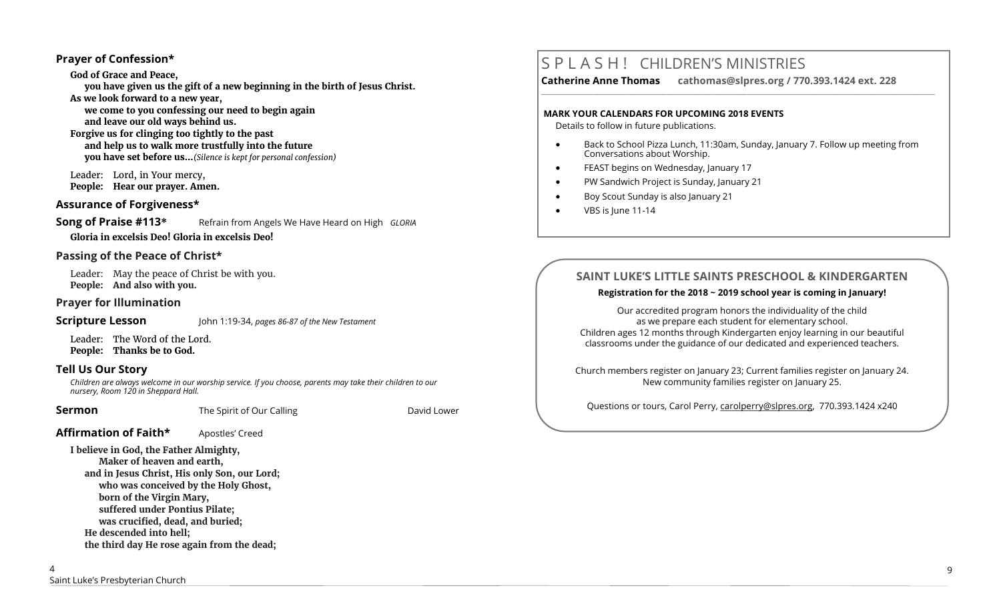## **Prayer of Confession\***

**God of Grace and Peace, you have given us the gift of a new beginning in the birth of Jesus Christ. As we look forward to a new year, we come to you confessing our need to begin again** 

**and leave our old ways behind us. Forgive us for clinging too tightly to the past and help us to walk more trustfully into the future you have set before us...***(Silence is kept for personal confession)* 

Leader: Lord, in Your mercy, **People: Hear our prayer. Amen.**

# **Assurance of Forgiveness\***

**Song of Praise #113**<sup>\*</sup> Refrain from Angels We Have Heard on High *GLORIA* 

**Gloria in excelsis Deo! Gloria in excelsis Deo!** 

## **Passing of the Peace of Christ\***

Leader: May the peace of Christ be with you. **People: And also with you.**

## **Prayer for Illumination**

#### **Scripture Lesson** John 1:19-34, *pages 86-87 of the New Testament*

Leader: The Word of the Lord. **People: Thanks be to God.**

## **Tell Us Our Story**

*Children are always welcome in our worship service. If you choose, parents may take their children to our nursery, Room 120 in Sheppard Hall.* 

**Sermon** The Spirit of Our Calling **David Lower** David Lower

# **Affirmation of Faith\*** Apostles' Creed

**I believe in God, the Father Almighty, Maker of heaven and earth, and in Jesus Christ, His only Son, our Lord; who was conceived by the Holy Ghost, born of the Virgin Mary, suffered under Pontius Pilate; was crucified, dead, and buried; He descended into hell; the third day He rose again from the dead;**

# S P L A S H ! CHILDREN'S MINISTRIES

**Catherine Anne Thomas cathomas@slpres.org / 770.393.1424 ext. 228** 

#### **MARK YOUR CALENDARS FOR UPCOMING 2018 EVENTS**

Details to follow in future publications.

 Back to School Pizza Lunch, 11:30am, Sunday, January 7. Follow up meeting from Conversations about Worship.

**\_\_\_\_\_\_\_\_\_\_\_\_\_\_\_\_\_\_\_\_\_\_\_\_\_\_\_\_\_\_\_\_\_\_\_\_\_\_\_\_\_\_\_\_\_\_\_\_\_\_\_\_\_\_\_\_\_\_\_\_\_\_\_\_\_\_\_\_\_\_\_\_\_\_\_\_\_\_\_\_\_\_\_\_\_\_\_\_\_\_\_\_\_\_\_\_\_\_\_\_\_\_\_\_\_\_\_** 

- **•** FEAST begins on Wednesday, January 17
- PW Sandwich Project is Sunday, January 21
- Boy Scout Sunday is also January 21
- VBS is June 11-14

# **SAINT LUKE'S LITTLE SAINTS PRESCHOOL & KINDERGARTEN**

#### **Registration for the 2018 ~ 2019 school year is coming in January!**

Our accredited program honors the individuality of the child as we prepare each student for elementary school. Children ages 12 months through Kindergarten enjoy learning in our beautiful classrooms under the guidance of our dedicated and experienced teachers.

Church members register on January 23; Current families register on January 24. New community families register on January 25.

Questions or tours, Carol Perry, carolperry@slpres.org, 770.393.1424 x240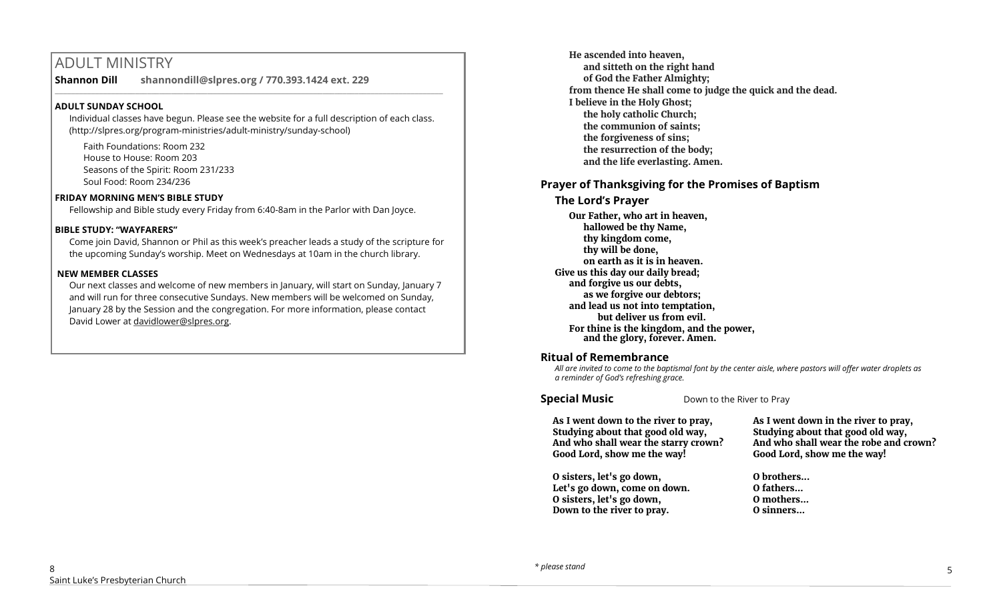# ADULT MINISTRY

**Shannon Dill shannondill@slpres.org / 770.393.1424 ext. 229** 

## **ADULT SUNDAY SCHOOL**

Individual classes have begun. Please see the website for a full description of each class. (http://slpres.org/program-ministries/adult-ministry/sunday-school)

 $\_$  ,  $\_$  ,  $\_$  ,  $\_$  ,  $\_$  ,  $\_$  ,  $\_$  ,  $\_$  ,  $\_$  ,  $\_$  ,  $\_$  ,  $\_$  ,  $\_$  ,  $\_$  ,  $\_$  ,  $\_$  ,  $\_$  ,  $\_$  ,  $\_$  ,  $\_$ 

Faith Foundations: Room 232 House to House: Room 203 Seasons of the Spirit: Room 231/233 Soul Food: Room 234/236

#### **FRIDAY MORNING MEN'S BIBLE STUDY**

Fellowship and Bible study every Friday from 6:40-8am in the Parlor with Dan Joyce.

#### **BIBLE STUDY: "WAYFARERS"**

Come join David, Shannon or Phil as this week's preacher leads a study of the scripture for the upcoming Sunday's worship. Meet on Wednesdays at 10am in the church library.

#### **NEW MEMBER CLASSES**

Our next classes and welcome of new members in January, will start on Sunday, January 7 and will run for three consecutive Sundays. New members will be welcomed on Sunday, January 28 by the Session and the congregation. For more information, please contact David Lower at davidlower@slpres.org.

**He ascended into heaven, and sitteth on the right hand of God the Father Almighty; from thence He shall come to judge the quick and the dead. I believe in the Holy Ghost; the holy catholic Church; the communion of saints; the forgiveness of sins; the resurrection of the body; and the life everlasting. Amen.**

## **Prayer of Thanksgiving for the Promises of Baptism**

# **The Lord's Prayer**

**Our Father, who art in heaven, hallowed be thy Name, thy kingdom come, thy will be done, on earth as it is in heaven. Give us this day our daily bread; and forgive us our debts, as we forgive our debtors; and lead us not into temptation, but deliver us from evil. For thine is the kingdom, and the power, and the glory, forever. Amen.** 

## **Ritual of Remembrance**

*All are invited to come to the baptismal font by the center aisle, where pastors will offer water droplets as a reminder of God's refreshing grace.*

**Special Music** Down to the River to Pray

| As I went down to the river to pray,<br>Studying about that good old way,<br>And who shall wear the starry crown?<br>Good Lord, show me the way! | As I went down in the river to pray,<br>Studying about that good old way,<br>And who shall wear the robe and crown?<br>Good Lord, show me the way! |
|--------------------------------------------------------------------------------------------------------------------------------------------------|----------------------------------------------------------------------------------------------------------------------------------------------------|
| O sisters, let's go down,                                                                                                                        | O brothers                                                                                                                                         |
| Let's go down, come on down.                                                                                                                     | O fathers                                                                                                                                          |
| O sisters, let's go down,                                                                                                                        | O mothers                                                                                                                                          |
| Down to the river to pray.                                                                                                                       | O sinners                                                                                                                                          |